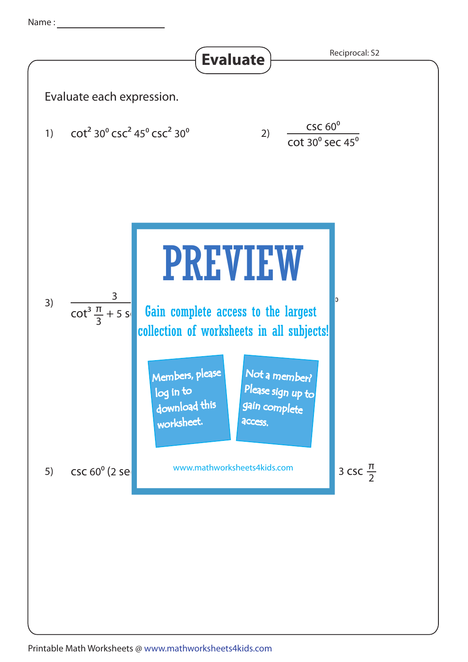